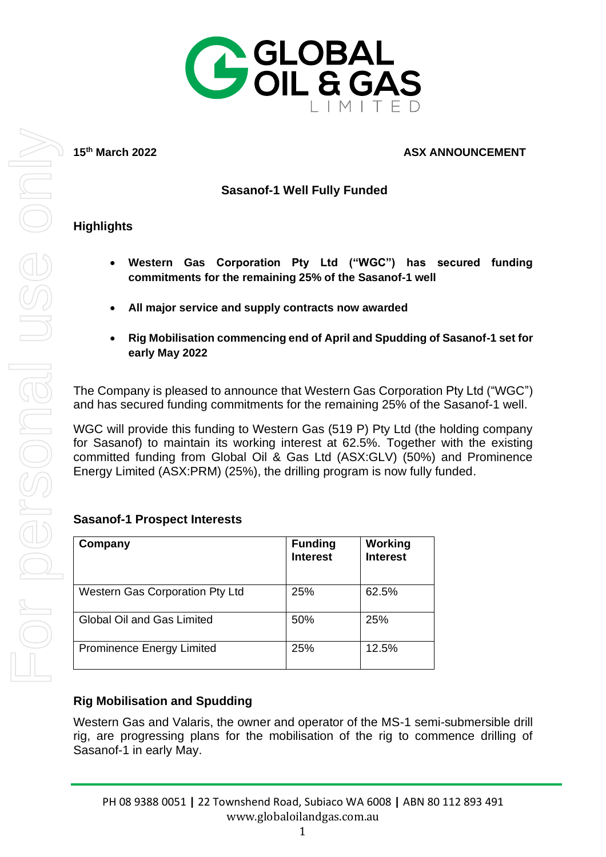

15<sup>th</sup> March 2022

#### **ASX ANNOUNCEMENT**

### **Sasanof-1 Well Fully Funded**

### **Highlights**

- **Western Gas Corporation Pty Ltd ("WGC") has secured funding commitments for the remaining 25% of the Sasanof-1 well**
- **All major service and supply contracts now awarded**
- **Rig Mobilisation commencing end of April and Spudding of Sasanof-1 set for early May 2022**

The Company is pleased to announce that Western Gas Corporation Pty Ltd ("WGC") and has secured funding commitments for the remaining 25% of the Sasanof-1 well.

WGC will provide this funding to Western Gas (519 P) Pty Ltd (the holding company for Sasanof) to maintain its working interest at 62.5%. Together with the existing committed funding from Global Oil & Gas Ltd (ASX:GLV) (50%) and Prominence Energy Limited (ASX:PRM) (25%), the drilling program is now fully funded.

### **Sasanof-1 Prospect Interests**

| Company                                | <b>Funding</b><br><b>Interest</b> | Working<br><b>Interest</b> |
|----------------------------------------|-----------------------------------|----------------------------|
| <b>Western Gas Corporation Pty Ltd</b> | 25%                               | 62.5%                      |
| Global Oil and Gas Limited             | 50%                               | 25%                        |
| <b>Prominence Energy Limited</b>       | 25%                               | 12.5%                      |

## **Rig Mobilisation and Spudding**

Western Gas and Valaris, the owner and operator of the MS-1 semi-submersible drill rig, are progressing plans for the mobilisation of the rig to commence drilling of Sasanof-1 in early May.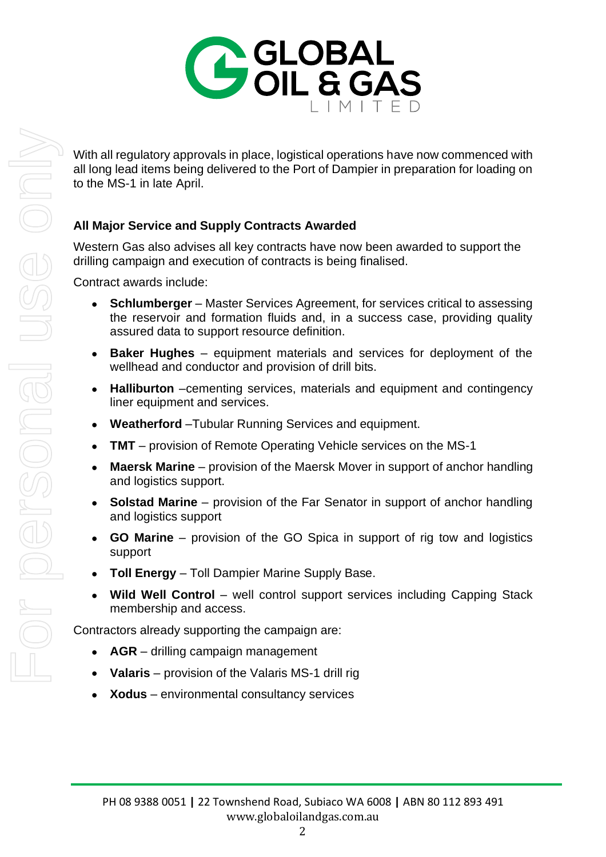

With all regulatory approvals in place, logistical operations have now commenced with all long lead items being delivered to the Port of Dampier in preparation for loading on to the MS-1 in late April.

# **All Major Service and Supply Contracts Awarded**

Western Gas also advises all key contracts have now been awarded to support the drilling campaign and execution of contracts is being finalised.

Contract awards include:

- **Schlumberger** Master Services Agreement, for services critical to assessing the reservoir and formation fluids and, in a success case, providing quality assured data to support resource definition.
- **Baker Hughes** equipment materials and services for deployment of the wellhead and conductor and provision of drill bits.
- **Halliburton** –cementing services, materials and equipment and contingency liner equipment and services.
- **Weatherford** –Tubular Running Services and equipment.
- **TMT** provision of Remote Operating Vehicle services on the MS-1
- Maersk Marine provision of the Maersk Mover in support of anchor handling and logistics support.
- **Solstad Marine**  provision of the Far Senator in support of anchor handling and logistics support
- **GO Marine**  provision of the GO Spica in support of rig tow and logistics support
- **Toll Energy**  Toll Dampier Marine Supply Base.
- Wild Well Control well control support services including Capping Stack membership and access.

Contractors already supporting the campaign are:

- **AGR** drilling campaign management
- **Valaris** provision of the Valaris MS-1 drill rig
- **Xodus** environmental consultancy services